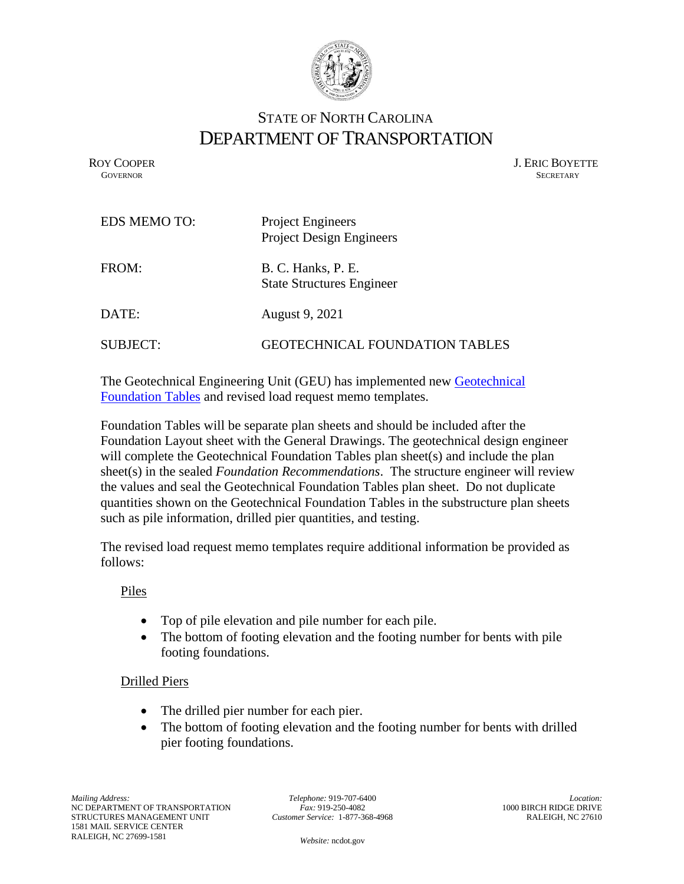

## STATE OF NORTH CAROLINA DEPARTMENT OF TRANSPORTATION

ROY COOPER J. ERIC BOYETTE **GOVERNOR** SECRETARY

| <b>EDS MEMO TO:</b> | <b>Project Engineers</b><br><b>Project Design Engineers</b> |
|---------------------|-------------------------------------------------------------|
| FROM:               | B. C. Hanks, P. E.<br><b>State Structures Engineer</b>      |
| DATE:               | August 9, 2021                                              |
| SUBJECT:            | GEOTECHNICAL FOUNDATION TABLES                              |

The Geotechnical Engineering Unit (GEU) has implemented new [Geotechnical](https://connect.ncdot.gov/resources/Geological/Geotech%20Standard%20Specifications/21-06-11_Geotechnical%20Foundation%20Tables%20and%20Piles%20Provision.pdf)  [Foundation Tables](https://connect.ncdot.gov/resources/Geological/Geotech%20Standard%20Specifications/21-06-11_Geotechnical%20Foundation%20Tables%20and%20Piles%20Provision.pdf) and revised load request memo templates.

Foundation Tables will be separate plan sheets and should be included after the Foundation Layout sheet with the General Drawings. The geotechnical design engineer will complete the Geotechnical Foundation Tables plan sheet(s) and include the plan sheet(s) in the sealed *Foundation Recommendations*. The structure engineer will review the values and seal the Geotechnical Foundation Tables plan sheet. Do not duplicate quantities shown on the Geotechnical Foundation Tables in the substructure plan sheets such as pile information, drilled pier quantities, and testing.

The revised load request memo templates require additional information be provided as follows:

Piles

- Top of pile elevation and pile number for each pile.
- The bottom of footing elevation and the footing number for bents with pile footing foundations.

## Drilled Piers

- The drilled pier number for each pier.
- The bottom of footing elevation and the footing number for bents with drilled pier footing foundations.